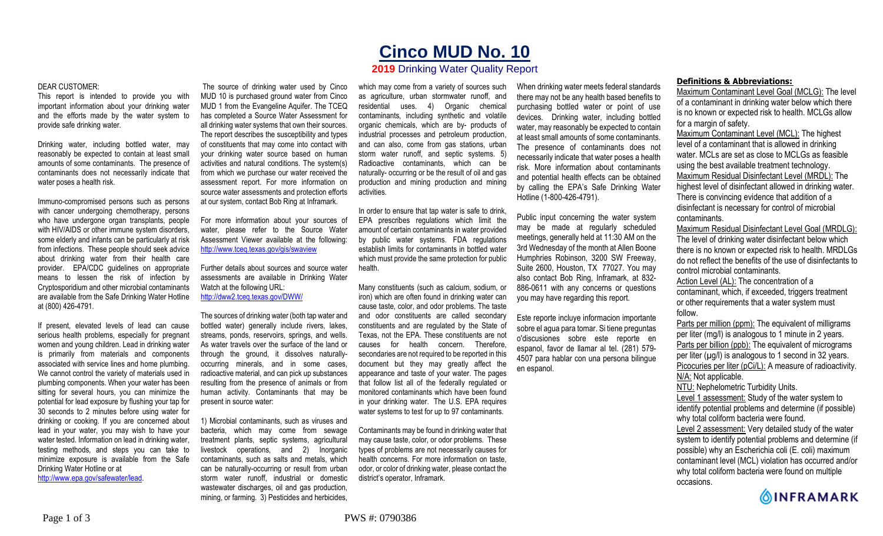# **Cinco MUD No. 10**

# **2019** Drinking Water Quality Report

#### DEAR CUSTOMER:

This report is intended to provide you with important information about your drinking water and the efforts made by the water system to provide safe drinking water.

Drinking water, including bottled water, may reasonably be expected to contain at least small amounts of some contaminants. The presence of contaminants does not necessarily indicate that water poses a health risk.

Immuno-compromised persons such as persons with cancer undergoing chemotherapy, persons who have undergone organ transplants, people with HIV/AIDS or other immune system disorders, some elderly and infants can be particularly at risk from infections. These people should seek advice about drinking water from their health care provider. EPA/CDC guidelines on appropriate means to lessen the risk of infection by Cryptosporidium and other microbial contaminants are available from the Safe Drinking Water Hotline at (800) 426-4791.

If present, elevated levels of lead can cause serious health problems, especially for pregnant women and young children. Lead in drinking water is primarily from materials and components associated with service lines and home plumbing. We cannot control the variety of materials used in plumbing components. When your water has been sitting for several hours, you can minimize the potential for lead exposure by flushing your tap for 30 seconds to 2 minutes before using water for drinking or cooking. If you are concerned about lead in your water, you may wish to have your water tested. Information on lead in drinking water, testing methods, and steps you can take to minimize exposure is available from the Safe Drinking Water Hotline or at

http://www.epa.gov/safewater/lead.

The source of drinking water used by Cinco MUD 10 is purchased ground water from Cinco MUD 1 from the Evangeline Aquifer. The TCEQ has completed a Source Water Assessment for all drinking water systems that own their sources. The report describes the susceptibility and types of constituents that may come into contact with your drinking water source based on human activities and natural conditions. The system(s) from which we purchase our water received the assessment report. For more information on source water assessments and protection efforts at our system, contact Bob Ring at Inframark.

For more information about your sources of water, please refer to the Source Water Assessment Viewer available at the following: http://www.tceq.texas.gov/gis/swaview

Further details about sources and source water assessments are available in Drinking Water Watch at the following URL: http://dww2.tceq.texas.gov/DWW/

The sources of drinking water (both tap water and bottled water) generally include rivers, lakes, streams, ponds, reservoirs, springs, and wells. As water travels over the surface of the land or through the ground, it dissolves naturallyoccurring minerals, and in some cases, radioactive material, and can pick up substances resulting from the presence of animals or from human activity. Contaminants that may be present in source water:

1) Microbial contaminants, such as viruses and bacteria, which may come from sewage treatment plants, septic systems, agricultural livestock operations, and 2) Inorganic contaminants, such as salts and metals, which can be naturally-occurring or result from urban storm water runoff, industrial or domestic wastewater discharges, oil and gas production, mining, or farming. 3) Pesticides and herbicides,

which may come from a variety of sources such as agriculture, urban stormwater runoff, and residential uses. 4) Organic chemical contaminants, including synthetic and volatile organic chemicals, which are by- products of industrial processes and petroleum production, and can also, come from gas stations, urban storm water runoff, and septic systems. 5) Radioactive contaminants, which can be naturally- occurring or be the result of oil and gas production and mining production and mining activities.

In order to ensure that tap water is safe to drink, EPA prescribes regulations which limit the amount of certain contaminants in water provided by public water systems. FDA regulations establish limits for contaminants in bottled water which must provide the same protection for public health.

Many constituents (such as calcium, sodium, or iron) which are often found in drinking water can cause taste, color, and odor problems. The taste and odor constituents are called secondary constituents and are regulated by the State of Texas, not the EPA. These constituents are not causes for health concern. Therefore, secondaries are not required to be reported in this document but they may greatly affect the appearance and taste of your water. The pages that follow list all of the federally regulated or monitored contaminants which have been found in your drinking water. The U.S. EPA requires water systems to test for up to 97 contaminants.

Contaminants may be found in drinking water that may cause taste, color, or odor problems. These types of problems are not necessarily causes for health concerns. For more information on taste, odor, or color of drinking water, please contact the district's operator, Inframark.

When drinking water meets federal standards there may not be any health based benefits to purchasing bottled water or point of use devices. Drinking water, including bottled water, may reasonably be expected to contain at least small amounts of some contaminants. The presence of contaminants does not necessarily indicate that water poses a health risk. More information about contaminants and potential health effects can be obtained by calling the EPA's Safe Drinking Water Hotline (1-800-426-4791).

Public input concerning the water system may be made at regularly scheduled meetings, generally held at 11:30 AM on the 3rd Wednesday of the month at Allen Boone Humphries Robinson, 3200 SW Freeway, Suite 2600, Houston, TX 77027. You may also contact Bob Ring, Inframark, at 832- 886-0611 with any concerns or questions you may have regarding this report.

Este reporte incluye informacion importante sobre el agua para tomar. Si tiene preguntas o'discusiones sobre este reporte en espanol, favor de llamar al tel. (281) 579- 4507 para hablar con una persona bilingue en espanol.

## **Definitions & Abbreviations:**

Maximum Contaminant Level Goal (MCLG): The level of a contaminant in drinking water below which there is no known or expected risk to health. MCLGs allow for a margin of safety.

Maximum Contaminant Level (MCL): The highest level of a contaminant that is allowed in drinking water. MCLs are set as close to MCLGs as feasible using the best available treatment technology. Maximum Residual Disinfectant Level (MRDL): The highest level of disinfectant allowed in drinking water. There is convincing evidence that addition of a disinfectant is necessary for control of microbial contaminants.

Maximum Residual Disinfectant Level Goal (MRDLG): The level of drinking water disinfectant below which there is no known or expected risk to health. MRDLGs do not reflect the benefits of the use of disinfectants to control microbial contaminants.

Action Level (AL): The concentration of a contaminant, which, if exceeded, triggers treatment or other requirements that a water system must follow.

Parts per million (ppm): The equivalent of milligrams per liter (mg/l) is analogous to 1 minute in 2 years. Parts per billion (ppb): The equivalent of micrograms per liter  $(\mu g/l)$  is analogous to 1 second in 32 years. Picocuries per liter (pCi/L): A measure of radioactivity. N/A: Not applicable. NTU: Nephelometric Turbidity Units. Level 1 assessment: Study of the water system to

identify potential problems and determine (if possible) why total coliform bacteria were found.

Level 2 assessment: Very detailed study of the water system to identify potential problems and determine (if possible) why an Escherichia coli (E. coli) maximum contaminant level (MCL) violation has occurred and/or why total coliform bacteria were found on multiple occasions.

**OINFRAMARK**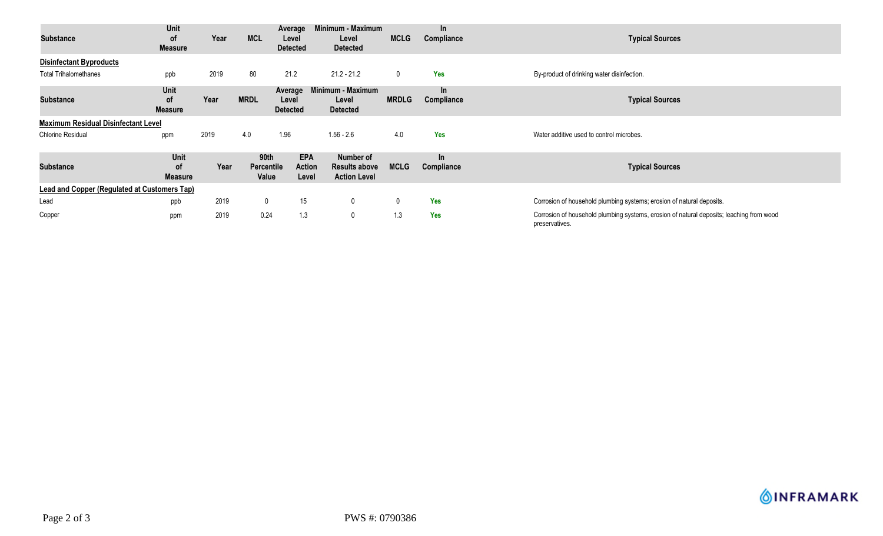| <b>Substance</b>                                    | Unit<br>0f<br><b>Measure</b>               | Year | <b>MCL</b>                         | Average<br>Level<br><b>Detected</b>  | Minimum - Maximum<br>Level<br><b>Detected</b>            | <b>MCLG</b>  | $\ln$<br>Compliance | <b>Typical Sources</b>                                                                                     |
|-----------------------------------------------------|--------------------------------------------|------|------------------------------------|--------------------------------------|----------------------------------------------------------|--------------|---------------------|------------------------------------------------------------------------------------------------------------|
| <b>Disinfectant Byproducts</b>                      |                                            |      |                                    |                                      |                                                          |              |                     |                                                                                                            |
| <b>Total Trihalomethanes</b>                        | ppb                                        | 2019 | 80                                 | 21.2                                 | $21.2 - 21.2$                                            | $\mathbf 0$  | <b>Yes</b>          | By-product of drinking water disinfection.                                                                 |
| <b>Substance</b>                                    | <b>Unit</b><br><b>of</b><br><b>Measure</b> | Year | <b>MRDL</b>                        | Average<br>Level<br><b>Detected</b>  | Minimum - Maximum<br>Level<br><b>Detected</b>            | <b>MRDLG</b> | In.<br>Compliance   | <b>Typical Sources</b>                                                                                     |
| <b>Maximum Residual Disinfectant Level</b>          |                                            |      |                                    |                                      |                                                          |              |                     |                                                                                                            |
| Chlorine Residual                                   | ppm                                        | 2019 | 4.0                                | 1.96                                 | $1.56 - 2.6$                                             | 4.0          | Yes                 | Water additive used to control microbes.                                                                   |
| <b>Substance</b>                                    | Unit<br>0f<br><b>Measure</b>               | Year | 90th<br><b>Percentile</b><br>Value | <b>EPA</b><br><b>Action</b><br>Level | Number of<br><b>Results above</b><br><b>Action Level</b> | <b>MCLG</b>  | $\ln$<br>Compliance | <b>Typical Sources</b>                                                                                     |
| <b>Lead and Copper (Regulated at Customers Tap)</b> |                                            |      |                                    |                                      |                                                          |              |                     |                                                                                                            |
| Lead                                                | ppb                                        | 2019 | $\mathbf 0$                        | 15                                   | $\mathbf 0$                                              | 0            | <b>Yes</b>          | Corrosion of household plumbing systems; erosion of natural deposits.                                      |
| Copper                                              | ppm                                        | 2019 | 0.24                               | 1.3                                  | $\mathbf 0$                                              | 1.3          | Yes                 | Corrosion of household plumbing systems, erosion of natural deposits; leaching from wood<br>preservatives. |